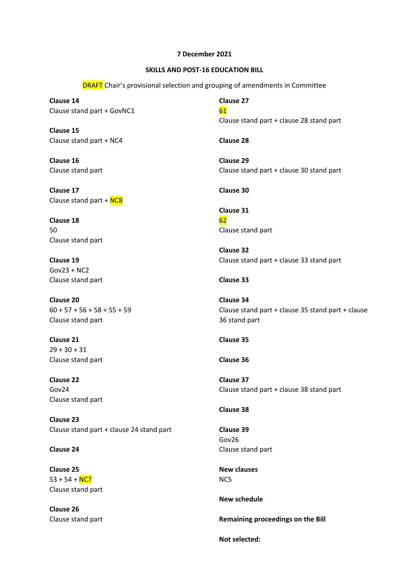## **7 December 2021**

## **SKILLS AND POST-16 EDUCATION BILL**

**DRAFT** Chair's provisional selection and grouping of amendments in Committee

**Clause 14** Clause stand part + GovNC1

**Clause 15** Clause stand part + NC4

**Clause 16** Clause stand part

**Clause 17** Clause stand part + NC8

**Clause 18** 50 Clause stand part

**Clause 19** Gov23 + NC2 Clause stand part

**Clause 20**  $60 + 57 + 56 + 58 + 55 + 59$ Clause stand part

**Clause 21**  $29 + 30 + 31$ Clause stand part

**Clause 22** Gov24 Clause stand part

**Clause 23** Clause stand part + clause 24 stand part

**Clause 24**

**Clause 25**  $53 + 54 + NC7$ Clause stand part

**Clause 26** Clause stand part **Clause 27** 61 Clause stand part + clause 28 stand part **Clause 28 Clause 29** Clause stand part + clause 30 stand part **Clause 30 Clause 31** 62 Clause stand part **Clause 32** Clause stand part + clause 33 stand part **Clause 33 Clause 34**

Clause stand part + clause 35 stand part + clause 36 stand part

**Clause 35**

**Clause 36**

**Clause 37** Clause stand part + clause 38 stand part

**Clause 38**

**Clause 39** Gov26 Clause stand part

**New clauses** NC5

**New schedule**

**Remaining proceedings on the Bill**

**Not selected:**